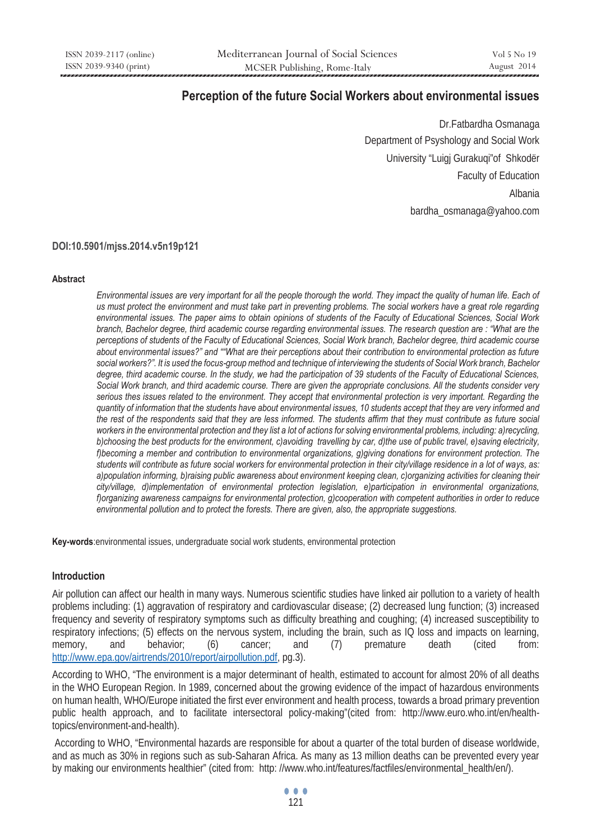# **Perception of the future Social Workers about environmental issues**

Dr.Fatbardha Osmanaga Department of Psyshology and Social Work University "Luigj Gurakuqi"of Shkodër Faculty of Education Albania bardha\_osmanaga@yahoo.com

### **DOI:10.5901/mjss.2014.v5n19p121**

#### **Abstract**

*Environmental issues are very important for all the people thorough the world. They impact the quality of human life. Each of us must protect the environment and must take part in preventing problems. The social workers have a great role regarding environmental issues. The paper aims to obtain opinions of students of the Faculty of Educational Sciences, Social Work branch, Bachelor degree, third academic course regarding environmental issues. The research question are : "What are the perceptions of students of the Faculty of Educational Sciences, Social Work branch, Bachelor degree, third academic course about environmental issues?" and ""What are their perceptions about their contribution to environmental protection as future social workers?". It is used the focus-group method and technique of interviewing the students of Social Work branch, Bachelor degree, third academic course. In the study, we had the participation of 39 students of the Faculty of Educational Sciences, Social Work branch, and third academic course. There are given the appropriate conclusions. All the students consider very serious thes issues related to the environment. They accept that environmental protection is very important. Regarding the quantity of information that the students have about environmental issues, 10 students accept that they are very informed and the rest of the respondents said that they are less informed. The students affirm that they must contribute as future social*  workers in the environmental protection and they list a lot of actions for solving environmental problems, including: a)recycling, *b)choosing the best products for the environment, c)avoiding travelling by car, d)the use of public travel, e)saving electricity, f)becoming a member and contribution to environmental organizations, g)giving donations for environment protection. The students will contribute as future social workers for environmental protection in their city/village residence in a lot of ways, as: a)population informing, b)raising public awareness about environment keeping clean, c)organizing activities for cleaning their city/village, d)implementation of environmental protection legislation, e)participation in environmental organizations, f)organizing awareness campaigns for environmental protection, g)cooperation with competent authorities in order to reduce environmental pollution and to protect the forests. There are given, also, the appropriate suggestions.* 

**Key-words**:environmental issues, undergraduate social work students, environmental protection

#### **Introduction**

Air pollution can affect our health in many ways. Numerous scientific studies have linked air pollution to a variety of health problems including: (1) aggravation of respiratory and cardiovascular disease; (2) decreased lung function; (3) increased frequency and severity of respiratory symptoms such as difficulty breathing and coughing; (4) increased susceptibility to respiratory infections; (5) effects on the nervous system, including the brain, such as IQ loss and impacts on learning, memory, and behavior; (6) cancer; and (7) premature death (cited from: http://www.epa.gov/airtrends/2010/report/airpollution.pdf, pg.3).

According to WHO, "The environment is a major determinant of health, estimated to account for almost 20% of all deaths in the WHO European Region. In 1989, concerned about the growing evidence of the impact of hazardous environments on human health, WHO/Europe initiated the first ever environment and health process, towards a broad primary prevention public health approach, and to facilitate intersectoral policy-making"(cited from: http://www.euro.who.int/en/healthtopics/environment-and-health).

 According to WHO, "Environmental hazards are responsible for about a quarter of the total burden of disease worldwide, and as much as 30% in regions such as sub-Saharan Africa. As many as 13 million deaths can be prevented every year by making our environments healthier" (cited from: http: //www.who.int/features/factfiles/environmental\_health/en/).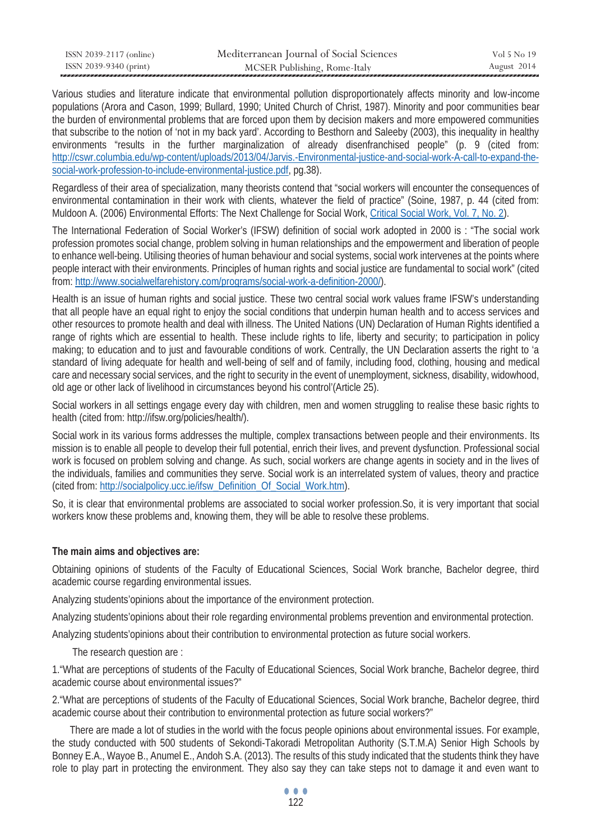| ISSN 2039-2117 (online) | Mediterranean Journal of Social Sciences | Vol 5 No 19 |
|-------------------------|------------------------------------------|-------------|
| ISSN 2039-9340 (print)  | MCSER Publishing, Rome-Italy             | August 2014 |

Various studies and literature indicate that environmental pollution disproportionately affects minority and low-income populations (Arora and Cason, 1999; Bullard, 1990; United Church of Christ, 1987). Minority and poor communities bear the burden of environmental problems that are forced upon them by decision makers and more empowered communities that subscribe to the notion of 'not in my back yard'. According to Besthorn and Saleeby (2003), this inequality in healthy environments "results in the further marginalization of already disenfranchised people" (p. 9 (cited from: http://cswr.columbia.edu/wp-content/uploads/2013/04/Jarvis.-Environmental-justice-and-social-work-A-call-to-expand-thesocial-work-profession-to-include-environmental-justice.pdf, pg.38).

Regardless of their area of specialization, many theorists contend that "social workers will encounter the consequences of environmental contamination in their work with clients, whatever the field of practice" (Soine, 1987, p. 44 (cited from: Muldoon A. (2006) Environmental Efforts: The Next Challenge for Social Work, Critical Social Work, Vol. 7, No. 2).

The International Federation of Social Worker's (IFSW) definition of social work adopted in 2000 is : "The social work profession promotes social change, problem solving in human relationships and the empowerment and liberation of people to enhance well-being. Utilising theories of human behaviour and social systems, social work intervenes at the points where people interact with their environments. Principles of human rights and social justice are fundamental to social work" (cited from: http://www.socialwelfarehistory.com/programs/social-work-a-definition-2000/).

Health is an issue of human rights and social justice. These two central social work values frame IFSW's understanding that all people have an equal right to enjoy the social conditions that underpin human health and to access services and other resources to promote health and deal with illness. The United Nations (UN) Declaration of Human Rights identified a range of rights which are essential to health. These include rights to life, liberty and security; to participation in policy making; to education and to just and favourable conditions of work. Centrally, the UN Declaration asserts the right to 'a standard of living adequate for health and well-being of self and of family, including food, clothing, housing and medical care and necessary social services, and the right to security in the event of unemployment, sickness, disability, widowhood, old age or other lack of livelihood in circumstances beyond his control'(Article 25).

Social workers in all settings engage every day with children, men and women struggling to realise these basic rights to health (cited from: http://ifsw.org/policies/health/).

Social work in its various forms addresses the multiple, complex transactions between people and their environments. Its mission is to enable all people to develop their full potential, enrich their lives, and prevent dysfunction. Professional social work is focused on problem solving and change. As such, social workers are change agents in society and in the lives of the individuals, families and communities they serve. Social work is an interrelated system of values, theory and practice (cited from: http://socialpolicy.ucc.ie/ifsw\_Definition\_Of\_Social\_Work.htm).

So, it is clear that environmental problems are associated to social worker profession.So, it is very important that social workers know these problems and, knowing them, they will be able to resolve these problems.

#### **The main aims and objectives are:**

Obtaining opinions of students of the Faculty of Educational Sciences, Social Work branche, Bachelor degree, third academic course regarding environmental issues.

Analyzing students'opinions about the importance of the environment protection.

Analyzing students'opinions about their role regarding environmental problems prevention and environmental protection.

Analyzing students'opinions about their contribution to environmental protection as future social workers.

The research question are :

1."What are perceptions of students of the Faculty of Educational Sciences, Social Work branche, Bachelor degree, third academic course about environmental issues?"

2."What are perceptions of students of the Faculty of Educational Sciences, Social Work branche, Bachelor degree, third academic course about their contribution to environmental protection as future social workers?"

 There are made a lot of studies in the world with the focus people opinions about environmental issues. For example, the study conducted with 500 students of Sekondi-Takoradi Metropolitan Authority (S.T.M.A) Senior High Schools by Bonney E.A., Wayoe B., Anumel E., Andoh S.A. (2013). The results of this study indicated that the students think they have role to play part in protecting the environment. They also say they can take steps not to damage it and even want to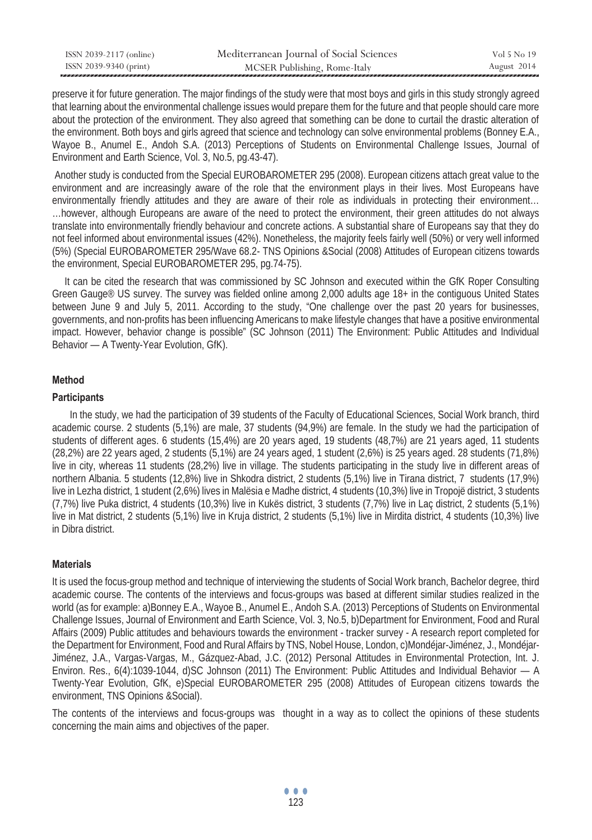| ISSN 2039-2117 (online) | Mediterranean Journal of Social Sciences | Vol 5 No 19 |
|-------------------------|------------------------------------------|-------------|
| ISSN 2039-9340 (print)  | MCSER Publishing, Rome-Italy             | August 2014 |

preserve it for future generation. The major findings of the study were that most boys and girls in this study strongly agreed that learning about the environmental challenge issues would prepare them for the future and that people should care more about the protection of the environment. They also agreed that something can be done to curtail the drastic alteration of the environment. Both boys and girls agreed that science and technology can solve environmental problems (Bonney E.A., Wayoe B., Anumel E., Andoh S.A. (2013) Perceptions of Students on Environmental Challenge Issues, Journal of Environment and Earth Science, Vol. 3, No.5, pg.43-47).

 Another study is conducted from the Special EUROBAROMETER 295 (2008). European citizens attach great value to the environment and are increasingly aware of the role that the environment plays in their lives. Most Europeans have environmentally friendly attitudes and they are aware of their role as individuals in protecting their environment… …however, although Europeans are aware of the need to protect the environment, their green attitudes do not always translate into environmentally friendly behaviour and concrete actions. A substantial share of Europeans say that they do not feel informed about environmental issues (42%). Nonetheless, the majority feels fairly well (50%) or very well informed (5%) (Special EUROBAROMETER 295/Wave 68.2- TNS Opinions &Social (2008) Attitudes of European citizens towards the environment, Special EUROBAROMETER 295, pg.74-75).

 It can be cited the research that was commissioned by SC Johnson and executed within the GfK Roper Consulting Green Gauge® US survey. The survey was fielded online among 2,000 adults age 18+ in the contiguous United States between June 9 and July 5, 2011. According to the study, "One challenge over the past 20 years for businesses, governments, and non-profits has been influencing Americans to make lifestyle changes that have a positive environmental impact. However, behavior change is possible" (SC Johnson (2011) The Environment: Public Attitudes and Individual Behavior — A Twenty-Year Evolution, GfK).

### **Method**

#### **Participants**

 In the study, we had the participation of 39 students of the Faculty of Educational Sciences, Social Work branch, third academic course. 2 students (5,1%) are male, 37 students (94,9%) are female. In the study we had the participation of students of different ages. 6 students (15,4%) are 20 years aged, 19 students (48,7%) are 21 years aged, 11 students (28,2%) are 22 years aged, 2 students (5,1%) are 24 years aged, 1 student (2,6%) is 25 years aged. 28 students (71,8%) live in city, whereas 11 students (28,2%) live in village. The students participating in the study live in different areas of northern Albania. 5 students (12,8%) live in Shkodra district, 2 students (5,1%) live in Tirana district, 7 students (17,9%) live in Lezha district, 1 student (2,6%) lives in Malësia e Madhe district, 4 students (10,3%) live in Tropojë district, 3 students (7,7%) live Puka district, 4 students (10,3%) live in Kukës district, 3 students (7,7%) live in Laç district, 2 students (5,1%) live in Mat district, 2 students (5,1%) live in Kruja district, 2 students (5,1%) live in Mirdita district, 4 students (10,3%) live in Dibra district.

#### **Materials**

It is used the focus-group method and technique of interviewing the students of Social Work branch, Bachelor degree, third academic course. The contents of the interviews and focus-groups was based at different similar studies realized in the world (as for example: a)Bonney E.A., Wayoe B., Anumel E., Andoh S.A. (2013) Perceptions of Students on Environmental Challenge Issues, Journal of Environment and Earth Science, Vol. 3, No.5, b)Department for Environment, Food and Rural Affairs (2009) Public attitudes and behaviours towards the environment - tracker survey - A research report completed for the Department for Environment, Food and Rural Affairs by TNS, Nobel House, London, c)Mondéjar-Jiménez, J., Mondéjar-Jiménez, J.A., Vargas-Vargas, M., Gázquez-Abad, J.C. (2012) Personal Attitudes in Environmental Protection, Int. J. Environ. Res., 6(4):1039-1044, d)SC Johnson (2011) The Environment: Public Attitudes and Individual Behavior — A Twenty-Year Evolution, GfK, e)Special EUROBAROMETER 295 (2008) Attitudes of European citizens towards the environment, TNS Opinions &Social).

The contents of the interviews and focus-groups was thought in a way as to collect the opinions of these students concerning the main aims and objectives of the paper.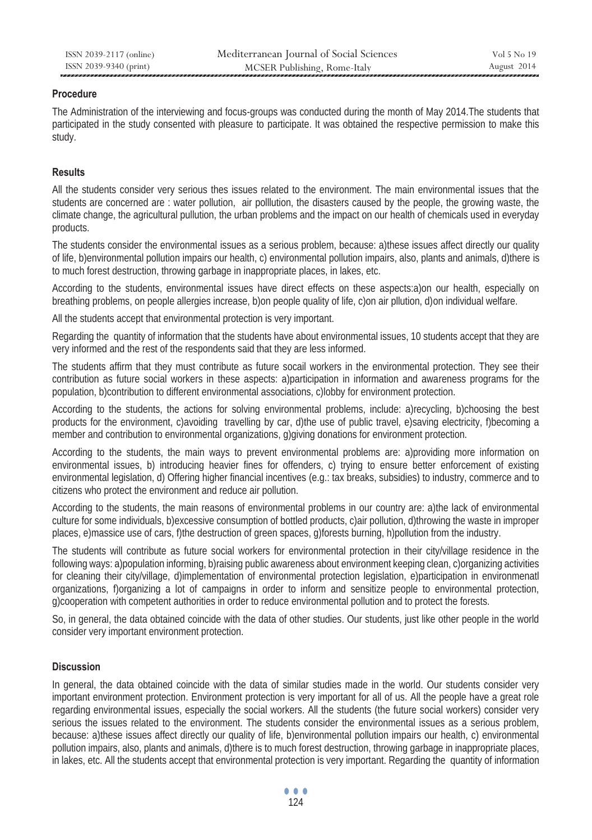## **Procedure**

The Administration of the interviewing and focus-groups was conducted during the month of May 2014.The students that participated in the study consented with pleasure to participate. It was obtained the respective permission to make this study.

## **Results**

All the students consider very serious thes issues related to the environment. The main environmental issues that the students are concerned are : water pollution, air polllution, the disasters caused by the people, the growing waste, the climate change, the agricultural pullution, the urban problems and the impact on our health of chemicals used in everyday products.

The students consider the environmental issues as a serious problem, because: a)these issues affect directly our quality of life, b)environmental pollution impairs our health, c) environmental pollution impairs, also, plants and animals, d)there is to much forest destruction, throwing garbage in inappropriate places, in lakes, etc.

According to the students, environmental issues have direct effects on these aspects:a)on our health, especially on breathing problems, on people allergies increase, b)on people quality of life, c)on air pllution, d)on individual welfare.

All the students accept that environmental protection is very important.

Regarding the quantity of information that the students have about environmental issues, 10 students accept that they are very informed and the rest of the respondents said that they are less informed.

The students affirm that they must contribute as future socail workers in the environmental protection. They see their contribution as future social workers in these aspects: a)participation in information and awareness programs for the population, b)contribution to different environmental associations, c)lobby for environment protection.

According to the students, the actions for solving environmental problems, include: a)recycling, b)choosing the best products for the environment, c)avoiding travelling by car, d)the use of public travel, e)saving electricity, f)becoming a member and contribution to environmental organizations, g)giving donations for environment protection.

According to the students, the main ways to prevent environmental problems are: a)providing more information on environmental issues, b) introducing heavier fines for offenders, c) trying to ensure better enforcement of existing environmental legislation, d) Offering higher financial incentives (e.g.: tax breaks, subsidies) to industry, commerce and to citizens who protect the environment and reduce air pollution.

According to the students, the main reasons of environmental problems in our country are: a)the lack of environmental culture for some individuals, b)excessive consumption of bottled products, c)air pollution, d)throwing the waste in improper places, e)massice use of cars, f)the destruction of green spaces, g)forests burning, h)pollution from the industry.

The students will contribute as future social workers for environmental protection in their city/village residence in the following ways: a)population informing, b)raising public awareness about environment keeping clean, c)organizing activities for cleaning their city/village, d)implementation of environmental protection legislation, e)participation in environmenatl organizations, f)organizing a lot of campaigns in order to inform and sensitize people to environmental protection, g)cooperation with competent authorities in order to reduce environmental pollution and to protect the forests.

So, in general, the data obtained coincide with the data of other studies. Our students, just like other people in the world consider very important environment protection.

## **Discussion**

In general, the data obtained coincide with the data of similar studies made in the world. Our students consider very important environment protection. Environment protection is very important for all of us. All the people have a great role regarding environmental issues, especially the social workers. All the students (the future social workers) consider very serious the issues related to the environment. The students consider the environmental issues as a serious problem, because: a)these issues affect directly our quality of life, b)environmental pollution impairs our health, c) environmental pollution impairs, also, plants and animals, d)there is to much forest destruction, throwing garbage in inappropriate places, in lakes, etc. All the students accept that environmental protection is very important. Regarding the quantity of information